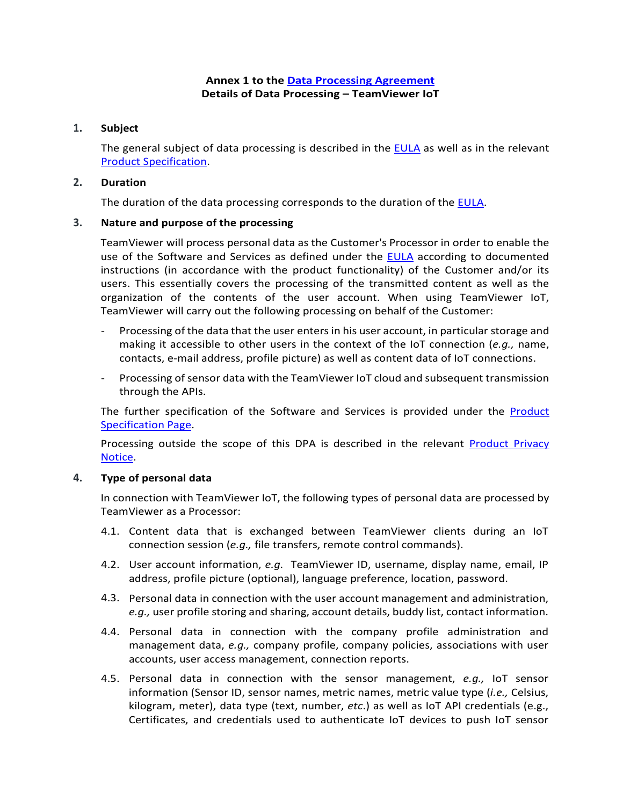# **Annex 1 to the [Data Processing Agreement](https://www.teamviewer.com/en/eula/#dpa) Details of Data Processing – TeamViewer IoT**

### **1. Subject**

The general subject of data processing is described in the [EULA](https://www.teamviewer.com/en/eula/#eula) as well as in the relevant [Product Specification.](https://www.teamviewer.com/en/product-descriptions/)

#### **2. Duration**

The duration of the data processing corresponds to the duration of the [EULA.](https://www.teamviewer.com/en/eula/#eula)

#### **3. Nature and purpose of the processing**

TeamViewer will process personal data as the Customer's Processor in order to enable the use of the Software and Services as defined under the [EULA](https://www.teamviewer.com/en/eula/#eula) according to documented instructions (in accordance with the product functionality) of the Customer and/or its users. This essentially covers the processing of the transmitted content as well as the organization of the contents of the user account. When using TeamViewer IoT, TeamViewer will carry out the following processing on behalf of the Customer:

- Processing of the data that the user enters in his user account, in particular storage and making it accessible to other users in the context of the IoT connection (*e.g.,* name, contacts, e-mail address, profile picture) as well as content data of IoT connections.
- Processing of sensor data with the TeamViewer IoT cloud and subsequent transmission through the APIs.

The further specification of the Software and Services is provided under the **Product** [Specification Page.](https://www.teamviewer.com/en/product-descriptions/)

Processing outside the scope of this DPA is described in the relevant [Product Privacy](https://www.teamviewer.com/en/privacy-policy/)  [Notice.](https://www.teamviewer.com/en/privacy-policy/)

### **4. Type of personal data**

In connection with TeamViewer IoT, the following types of personal data are processed by TeamViewer as a Processor:

- 4.1. Content data that is exchanged between TeamViewer clients during an IoT connection session (*e.g.,* file transfers, remote control commands).
- 4.2. User account information, *e.g.* TeamViewer ID, username, display name, email, IP address, profile picture (optional), language preference, location, password.
- 4.3. Personal data in connection with the user account management and administration, *e.g.,* user profile storing and sharing, account details, buddy list, contact information.
- 4.4. Personal data in connection with the company profile administration and management data, *e.g.,* company profile, company policies, associations with user accounts, user access management, connection reports.
- 4.5. Personal data in connection with the sensor management, *e.g.,* IoT sensor information (Sensor ID, sensor names, metric names, metric value type (*i.e.,* Celsius, kilogram, meter), data type (text, number, *etc*.) as well as IoT API credentials (e.g., Certificates, and credentials used to authenticate IoT devices to push IoT sensor